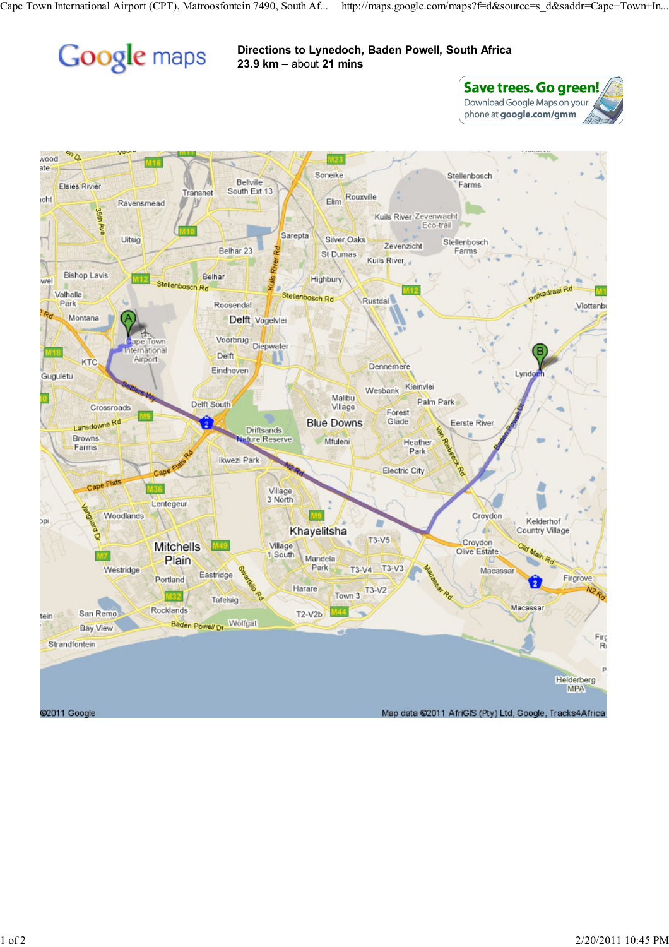